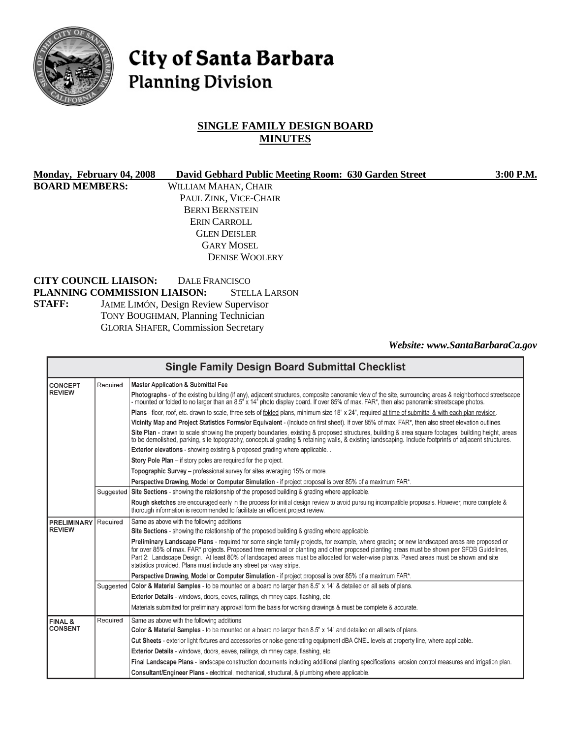

# City of Santa Barbara **Planning Division**

# **SINGLE FAMILY DESIGN BOARD MINUTES**

| Monday, February 04, 2008    | David Gebhard Public Meeting Room: 630 Garden Street | $3:00$ P.M. |
|------------------------------|------------------------------------------------------|-------------|
| <b>BOARD MEMBERS:</b>        | WILLIAM MAHAN, CHAIR                                 |             |
|                              | PAUL ZINK, VICE-CHAIR                                |             |
|                              | <b>BERNI BERNSTEIN</b>                               |             |
|                              | ERIN CARROLL                                         |             |
|                              | <b>GLEN DEISLER</b>                                  |             |
|                              | <b>GARY MOSEL</b>                                    |             |
|                              | <b>DENISE WOOLERY</b>                                |             |
| <b>CITY COUNCIL LIAISON:</b> | DALE FRANCISCO                                       |             |

**PLANNING COMMISSION LIAISON:** STELLA LARSON **STAFF:** JAIME LIMÓN, Design Review Supervisor TONY BOUGHMAN, Planning Technician GLORIA SHAFER, Commission Secretary

*Website: www.SantaBarbaraCa.gov* 

| <b>Single Family Design Board Submittal Checklist</b> |          |                                                                                                                                                                                                                                                                                                                                                                                                                                                                                                          |
|-------------------------------------------------------|----------|----------------------------------------------------------------------------------------------------------------------------------------------------------------------------------------------------------------------------------------------------------------------------------------------------------------------------------------------------------------------------------------------------------------------------------------------------------------------------------------------------------|
| <b>CONCEPT</b>                                        | Required | <b>Master Application &amp; Submittal Fee</b>                                                                                                                                                                                                                                                                                                                                                                                                                                                            |
| <b>REVIEW</b>                                         |          | Photographs - of the existing building (if any), adjacent structures, composite panoramic view of the site, surrounding areas & neighborhood streetscape<br>- mounted or folded to no larger than an 8.5" x 14" photo display board. If over 85% of max. FAR*, then also panoramic streetscape photos.                                                                                                                                                                                                   |
|                                                       |          | Plans - floor, roof, etc. drawn to scale, three sets of folded plans, minimum size 18" x 24", required at time of submittal & with each plan revision.                                                                                                                                                                                                                                                                                                                                                   |
|                                                       |          | Vicinity Map and Project Statistics Forms/or Equivalent - (Include on first sheet). If over 85% of max. FAR*, then also street elevation outlines.                                                                                                                                                                                                                                                                                                                                                       |
|                                                       |          | Site Plan - drawn to scale showing the property boundaries, existing & proposed structures, building & area square footages, building height, areas<br>to be demolished, parking, site topography, conceptual grading & retaining walls, & existing landscaping. Include footprints of adjacent structures.                                                                                                                                                                                              |
|                                                       |          | <b>Exterior elevations</b> - showing existing & proposed grading where applicable                                                                                                                                                                                                                                                                                                                                                                                                                        |
|                                                       |          | Story Pole Plan - if story poles are required for the project.                                                                                                                                                                                                                                                                                                                                                                                                                                           |
|                                                       |          | Topographic Survey – professional survey for sites averaging 15% or more.                                                                                                                                                                                                                                                                                                                                                                                                                                |
|                                                       |          | Perspective Drawing, Model or Computer Simulation - if project proposal is over 85% of a maximum FAR*.                                                                                                                                                                                                                                                                                                                                                                                                   |
|                                                       |          | Suggested   Site Sections - showing the relationship of the proposed building & grading where applicable.                                                                                                                                                                                                                                                                                                                                                                                                |
|                                                       |          | Rough sketches are encouraged early in the process for initial design review to avoid pursuing incompatible proposals. However, more complete &<br>thorough information is recommended to facilitate an efficient project review.                                                                                                                                                                                                                                                                        |
| <b>PRELIMINARY</b>                                    | Required | Same as above with the following additions:                                                                                                                                                                                                                                                                                                                                                                                                                                                              |
| <b>REVIEW</b>                                         |          | Site Sections - showing the relationship of the proposed building & grading where applicable.                                                                                                                                                                                                                                                                                                                                                                                                            |
|                                                       |          | Preliminary Landscape Plans - required for some single family projects, for example, where grading or new landscaped areas are proposed or<br>for over 85% of max. FAR* projects. Proposed tree removal or planting and other proposed planting areas must be shown per SFDB Guidelines,<br>Part 2: Landscape Design. At least 80% of landscaped areas must be allocated for water-wise plants. Paved areas must be shown and site<br>statistics provided. Plans must include any street parkway strips. |
|                                                       |          | Perspective Drawing, Model or Computer Simulation - if project proposal is over 85% of a maximum FAR*.                                                                                                                                                                                                                                                                                                                                                                                                   |
|                                                       |          | Suggested   Color & Material Samples - to be mounted on a board no larger than 8.5" x 14" & detailed on all sets of plans.                                                                                                                                                                                                                                                                                                                                                                               |
|                                                       |          | Exterior Details - windows, doors, eaves, railings, chimney caps, flashing, etc.                                                                                                                                                                                                                                                                                                                                                                                                                         |
|                                                       |          | Materials submitted for preliminary approval form the basis for working drawings & must be complete & accurate.                                                                                                                                                                                                                                                                                                                                                                                          |
| FINAL &                                               | Required | Same as above with the following additions:                                                                                                                                                                                                                                                                                                                                                                                                                                                              |
| <b>CONSENT</b>                                        |          | Color & Material Samples - to be mounted on a board no larger than 8.5" x 14" and detailed on all sets of plans.                                                                                                                                                                                                                                                                                                                                                                                         |
|                                                       |          | Cut Sheets - exterior light fixtures and accessories or noise generating equipment dBA CNEL levels at property line, where applicable.                                                                                                                                                                                                                                                                                                                                                                   |
|                                                       |          | Exterior Details - windows, doors, eaves, railings, chimney caps, flashing, etc.                                                                                                                                                                                                                                                                                                                                                                                                                         |
|                                                       |          | Final Landscape Plans - landscape construction documents including additional planting specifications, erosion control measures and irrigation plan.                                                                                                                                                                                                                                                                                                                                                     |
|                                                       |          | Consultant/Engineer Plans - electrical, mechanical, structural, & plumbing where applicable.                                                                                                                                                                                                                                                                                                                                                                                                             |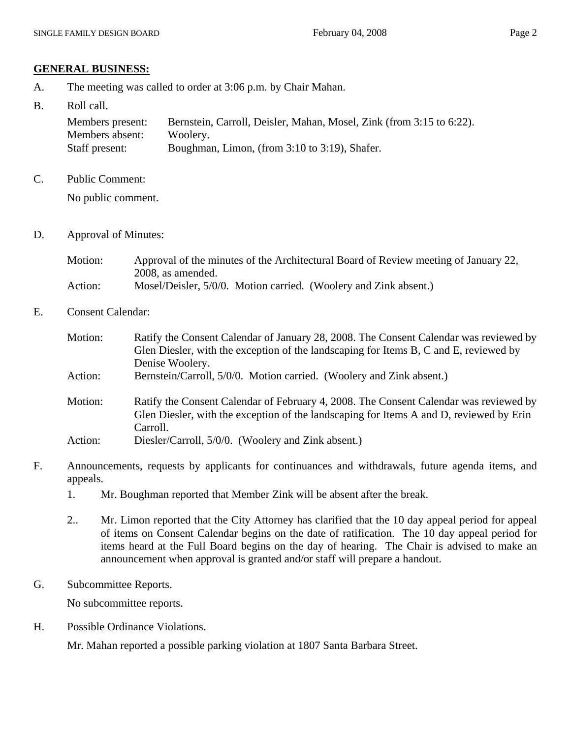#### **GENERAL BUSINESS:**

- A. The meeting was called to order at 3:06 p.m. by Chair Mahan.
- B. Roll call.

| Members present: | Bernstein, Carroll, Deisler, Mahan, Mosel, Zink (from 3:15 to 6:22). |
|------------------|----------------------------------------------------------------------|
| Members absent:  | Woolery.                                                             |
| Staff present:   | Boughman, Limon, (from 3:10 to 3:19), Shafer.                        |

C. Public Comment:

No public comment.

D. Approval of Minutes:

| Motion: | Approval of the minutes of the Architectural Board of Review meeting of January 22, |
|---------|-------------------------------------------------------------------------------------|
|         | 2008, as amended.                                                                   |
| Action: | Mosel/Deisler, 5/0/0. Motion carried. (Woolery and Zink absent.)                    |

E. Consent Calendar:

| Motion: | Ratify the Consent Calendar of January 28, 2008. The Consent Calendar was reviewed by<br>Glen Diesler, with the exception of the landscaping for Items B, C and E, reviewed by<br>Denise Woolery. |
|---------|---------------------------------------------------------------------------------------------------------------------------------------------------------------------------------------------------|
| Action: | Bernstein/Carroll, 5/0/0. Motion carried. (Woolery and Zink absent.)                                                                                                                              |
| Motion: | Ratify the Consent Calendar of February 4, 2008. The Consent Calendar was reviewed by<br>Glen Diesler, with the exception of the landscaping for Items A and D, reviewed by Erin<br>Carroll.      |
| Action: | Diesler/Carroll, 5/0/0. (Woolery and Zink absent.)                                                                                                                                                |

- F. Announcements, requests by applicants for continuances and withdrawals, future agenda items, and appeals.
	- 1. Mr. Boughman reported that Member Zink will be absent after the break.
	- 2.. Mr. Limon reported that the City Attorney has clarified that the 10 day appeal period for appeal of items on Consent Calendar begins on the date of ratification. The 10 day appeal period for items heard at the Full Board begins on the day of hearing. The Chair is advised to make an announcement when approval is granted and/or staff will prepare a handout.
- G. Subcommittee Reports.

No subcommittee reports.

H. Possible Ordinance Violations.

Mr. Mahan reported a possible parking violation at 1807 Santa Barbara Street.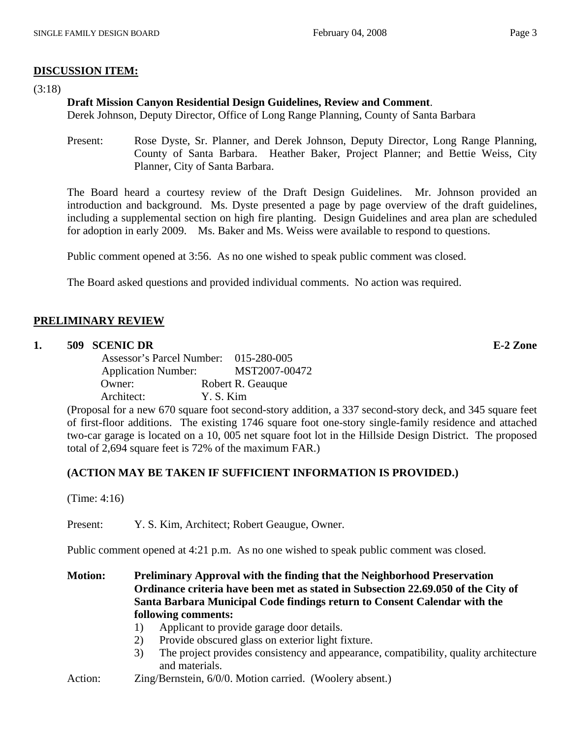# **DISCUSSION ITEM:**

(3:18)

# **Draft Mission Canyon Residential Design Guidelines, Review and Comment**.

Derek Johnson, Deputy Director, Office of Long Range Planning, County of Santa Barbara

Present: Rose Dyste, Sr. Planner, and Derek Johnson, Deputy Director, Long Range Planning, County of Santa Barbara. Heather Baker, Project Planner; and Bettie Weiss, City Planner, City of Santa Barbara.

The Board heard a courtesy review of the Draft Design Guidelines. Mr. Johnson provided an introduction and background. Ms. Dyste presented a page by page overview of the draft guidelines, including a supplemental section on high fire planting. Design Guidelines and area plan are scheduled for adoption in early 2009. Ms. Baker and Ms. Weiss were available to respond to questions.

Public comment opened at 3:56. As no one wished to speak public comment was closed.

The Board asked questions and provided individual comments. No action was required.

# **PRELIMINARY REVIEW**

# **1. 509 SCENIC DR E-2 Zone**

 Assessor's Parcel Number: 015-280-005 Application Number: MST2007-00472 Owner: Robert R. Geauque Architect: Y. S. Kim

(Proposal for a new 670 square foot second-story addition, a 337 second-story deck, and 345 square feet of first-floor additions. The existing 1746 square foot one-story single-family residence and attached two-car garage is located on a 10, 005 net square foot lot in the Hillside Design District. The proposed total of 2,694 square feet is 72% of the maximum FAR.)

# **(ACTION MAY BE TAKEN IF SUFFICIENT INFORMATION IS PROVIDED.)**

(Time: 4:16)

Present: Y. S. Kim, Architect; Robert Geaugue, Owner.

Public comment opened at 4:21 p.m. As no one wished to speak public comment was closed.

**Motion: Preliminary Approval with the finding that the Neighborhood Preservation Ordinance criteria have been met as stated in Subsection 22.69.050 of the City of Santa Barbara Municipal Code findings return to Consent Calendar with the following comments:** 

- 1) Applicant to provide garage door details.
- 2) Provide obscured glass on exterior light fixture.
- 3) The project provides consistency and appearance, compatibility, quality architecture and materials.
- Action: *Zing/Bernstein, 6/0/0. Motion carried.* (Woolery absent.)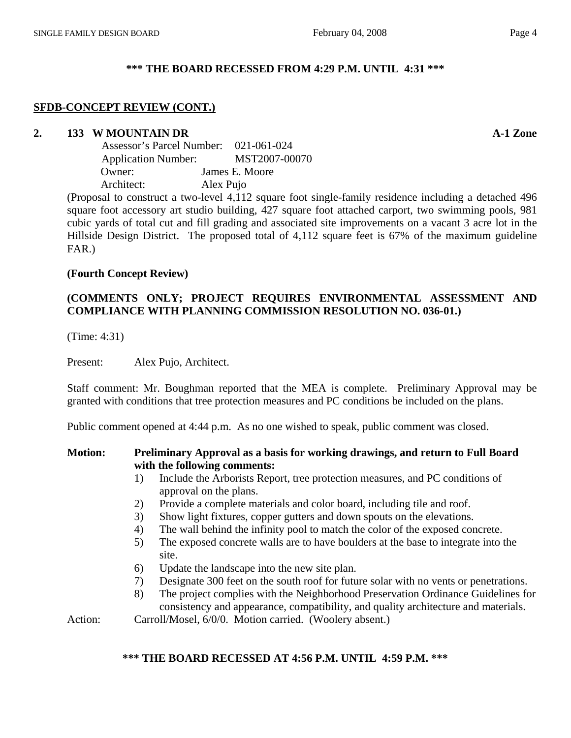#### **\*\*\* THE BOARD RECESSED FROM 4:29 P.M. UNTIL 4:31 \*\*\***

#### **SFDB-CONCEPT REVIEW (CONT.)**

#### **2. 133 W MOUNTAIN DR A-1 Zone**

|                            | Assessor's Parcel Number: 021-061-024 |  |
|----------------------------|---------------------------------------|--|
| <b>Application Number:</b> | MST2007-00070                         |  |
| Owner:                     | James E. Moore                        |  |
| Architect:                 | Alex Pujo                             |  |
|                            |                                       |  |

(Proposal to construct a two-level 4,112 square foot single-family residence including a detached 496 square foot accessory art studio building, 427 square foot attached carport, two swimming pools, 981 cubic yards of total cut and fill grading and associated site improvements on a vacant 3 acre lot in the Hillside Design District. The proposed total of 4,112 square feet is 67% of the maximum guideline FAR.)

#### **(Fourth Concept Review)**

# **(COMMENTS ONLY; PROJECT REQUIRES ENVIRONMENTAL ASSESSMENT AND COMPLIANCE WITH PLANNING COMMISSION RESOLUTION NO. 036-01.)**

(Time: 4:31)

Present: Alex Pujo, Architect.

Staff comment: Mr. Boughman reported that the MEA is complete. Preliminary Approval may be granted with conditions that tree protection measures and PC conditions be included on the plans.

Public comment opened at 4:44 p.m. As no one wished to speak, public comment was closed.

#### **Motion: Preliminary Approval as a basis for working drawings, and return to Full Board with the following comments:**

- 1) Include the Arborists Report, tree protection measures, and PC conditions of approval on the plans.
- 2) Provide a complete materials and color board, including tile and roof.
- 3) Show light fixtures, copper gutters and down spouts on the elevations.
- 4) The wall behind the infinity pool to match the color of the exposed concrete.
- 5) The exposed concrete walls are to have boulders at the base to integrate into the site.
- 6) Update the landscape into the new site plan.
- 7) Designate 300 feet on the south roof for future solar with no vents or penetrations.
- 8) The project complies with the Neighborhood Preservation Ordinance Guidelines for consistency and appearance, compatibility, and quality architecture and materials.

Action: Carroll/Mosel, 6/0/0. Motion carried. (Woolery absent.)

#### **\*\*\* THE BOARD RECESSED AT 4:56 P.M. UNTIL 4:59 P.M. \*\*\***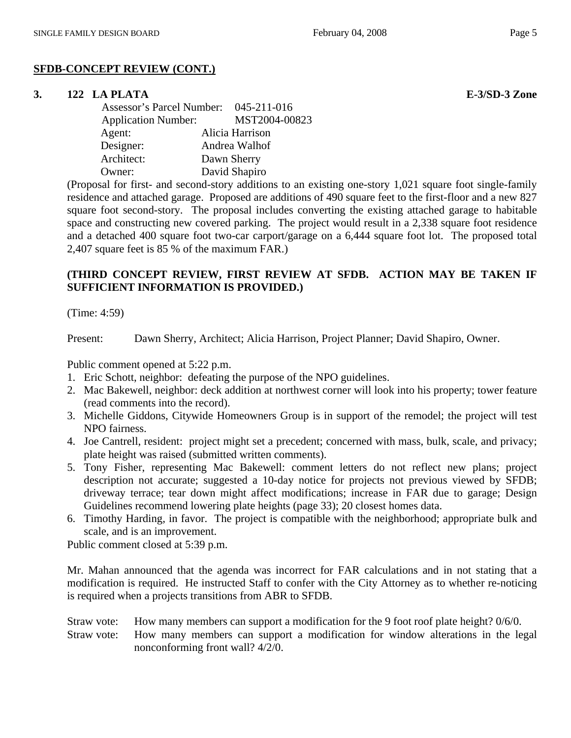# **SFDB-CONCEPT REVIEW (CONT.)**

# **3. 122 LA PLATA E-3/SD-3 Zone**

 Assessor's Parcel Number: 045-211-016 Application Number: MST2004-00823 Agent: Alicia Harrison Designer: Andrea Walhof Architect: Dawn Sherry Owner: David Shapiro

(Proposal for first- and second-story additions to an existing one-story 1,021 square foot single-family residence and attached garage. Proposed are additions of 490 square feet to the first-floor and a new 827 square foot second-story. The proposal includes converting the existing attached garage to habitable space and constructing new covered parking. The project would result in a 2,338 square foot residence and a detached 400 square foot two-car carport/garage on a 6,444 square foot lot. The proposed total 2,407 square feet is 85 % of the maximum FAR.)

# **(THIRD CONCEPT REVIEW, FIRST REVIEW AT SFDB. ACTION MAY BE TAKEN IF SUFFICIENT INFORMATION IS PROVIDED.)**

(Time: 4:59)

Present: Dawn Sherry, Architect; Alicia Harrison, Project Planner; David Shapiro, Owner.

Public comment opened at 5:22 p.m.

- 1. Eric Schott, neighbor: defeating the purpose of the NPO guidelines.
- 2. Mac Bakewell, neighbor: deck addition at northwest corner will look into his property; tower feature (read comments into the record).
- 3. Michelle Giddons, Citywide Homeowners Group is in support of the remodel; the project will test NPO fairness.
- 4. Joe Cantrell, resident: project might set a precedent; concerned with mass, bulk, scale, and privacy; plate height was raised (submitted written comments).
- 5. Tony Fisher, representing Mac Bakewell: comment letters do not reflect new plans; project description not accurate; suggested a 10-day notice for projects not previous viewed by SFDB; driveway terrace; tear down might affect modifications; increase in FAR due to garage; Design Guidelines recommend lowering plate heights (page 33); 20 closest homes data.
- 6. Timothy Harding, in favor. The project is compatible with the neighborhood; appropriate bulk and scale, and is an improvement.

Public comment closed at 5:39 p.m.

Mr. Mahan announced that the agenda was incorrect for FAR calculations and in not stating that a modification is required. He instructed Staff to confer with the City Attorney as to whether re-noticing is required when a projects transitions from ABR to SFDB.

# Straw vote: How many members can support a modification for the 9 foot roof plate height? 0/6/0.

Straw vote: How many members can support a modification for window alterations in the legal nonconforming front wall? 4/2/0.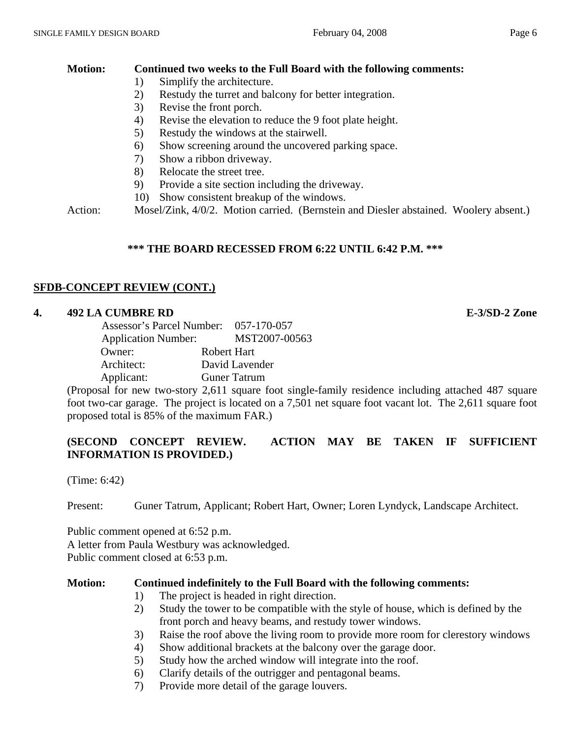# **Motion: Continued two weeks to the Full Board with the following comments:**

- 1) Simplify the architecture.
- 2) Restudy the turret and balcony for better integration.
- 3) Revise the front porch.
- 4) Revise the elevation to reduce the 9 foot plate height.
- 5) Restudy the windows at the stairwell.
- 6) Show screening around the uncovered parking space.
- 7) Show a ribbon driveway.
- 8) Relocate the street tree.
- 9) Provide a site section including the driveway.
- 10) Show consistent breakup of the windows.

Action: Mosel/Zink, 4/0/2. Motion carried. (Bernstein and Diesler abstained. Woolery absent.)

# **\*\*\* THE BOARD RECESSED FROM 6:22 UNTIL 6:42 P.M. \*\*\***

# **SFDB-CONCEPT REVIEW (CONT.)**

# **4. 492 LA CUMBRE RD E-3/SD-2 Zone**

| Assessor's Parcel Number: 057-170-057 |                |
|---------------------------------------|----------------|
| <b>Application Number:</b>            | MST2007-00563  |
| Owner:                                | Robert Hart    |
| Architect:                            | David Lavender |
| Applicant:                            | Guner Tatrum   |

(Proposal for new two-story 2,611 square foot single-family residence including attached 487 square foot two-car garage. The project is located on a 7,501 net square foot vacant lot. The 2,611 square foot proposed total is 85% of the maximum FAR.)

# **(SECOND CONCEPT REVIEW. ACTION MAY BE TAKEN IF SUFFICIENT INFORMATION IS PROVIDED.)**

(Time: 6:42)

Present: Guner Tatrum, Applicant; Robert Hart, Owner; Loren Lyndyck, Landscape Architect.

Public comment opened at 6:52 p.m. A letter from Paula Westbury was acknowledged. Public comment closed at 6:53 p.m.

# **Motion: Continued indefinitely to the Full Board with the following comments:**

- 1) The project is headed in right direction.
- 2) Study the tower to be compatible with the style of house, which is defined by the front porch and heavy beams, and restudy tower windows.
- 3) Raise the roof above the living room to provide more room for clerestory windows
- 4) Show additional brackets at the balcony over the garage door.
- 5) Study how the arched window will integrate into the roof.
- 6) Clarify details of the outrigger and pentagonal beams.
- 7) Provide more detail of the garage louvers.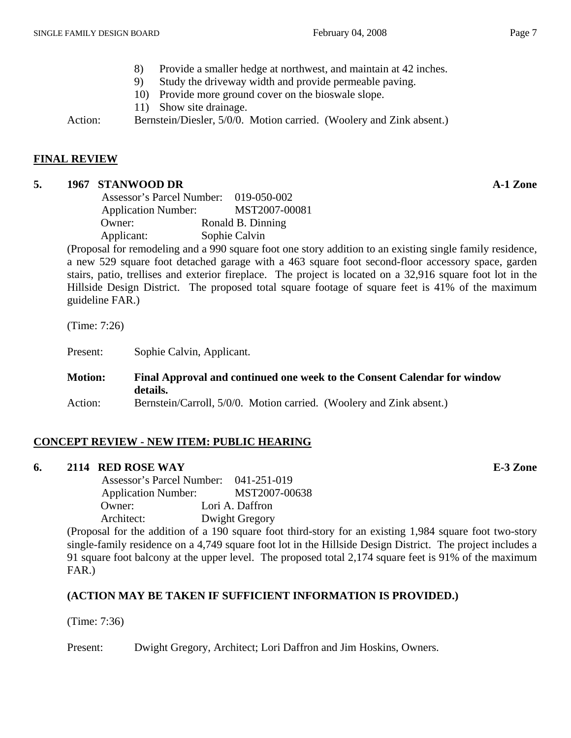- 8) Provide a smaller hedge at northwest, and maintain at 42 inches.
- 9) Study the driveway width and provide permeable paving.
- 10) Provide more ground cover on the bioswale slope.
- 11) Show site drainage.

Action: Bernstein/Diesler, 5/0/0. Motion carried. (Woolery and Zink absent.)

# **FINAL REVIEW**

# **5. 1967 STANWOOD DR A-1 Zone**

| Assessor's Parcel Number: 019-050-002 |                   |
|---------------------------------------|-------------------|
| <b>Application Number:</b>            | MST2007-00081     |
| Owner:                                | Ronald B. Dinning |
| Applicant:                            | Sophie Calvin     |

(Proposal for remodeling and a 990 square foot one story addition to an existing single family residence, a new 529 square foot detached garage with a 463 square foot second-floor accessory space, garden stairs, patio, trellises and exterior fireplace. The project is located on a 32,916 square foot lot in the Hillside Design District. The proposed total square footage of square feet is 41% of the maximum guideline FAR.)

(Time: 7:26)

Present: Sophie Calvin, Applicant.

| <b>Motion:</b> | Final Approval and continued one week to the Consent Calendar for window<br>details. |
|----------------|--------------------------------------------------------------------------------------|
| Action:        | Bernstein/Carroll, 5/0/0. Motion carried. (Woolery and Zink absent.)                 |

# **CONCEPT REVIEW - NEW ITEM: PUBLIC HEARING**

# **6. 2114 RED ROSE WAY E-3 Zone**

 Assessor's Parcel Number: 041-251-019 Application Number: MST2007-00638 Owner: Lori A. Daffron Architect: Dwight Gregory

(Proposal for the addition of a 190 square foot third-story for an existing 1,984 square foot two-story single-family residence on a 4,749 square foot lot in the Hillside Design District. The project includes a 91 square foot balcony at the upper level. The proposed total 2,174 square feet is 91% of the maximum FAR.)

# **(ACTION MAY BE TAKEN IF SUFFICIENT INFORMATION IS PROVIDED.)**

(Time: 7:36)

Present: Dwight Gregory, Architect; Lori Daffron and Jim Hoskins, Owners.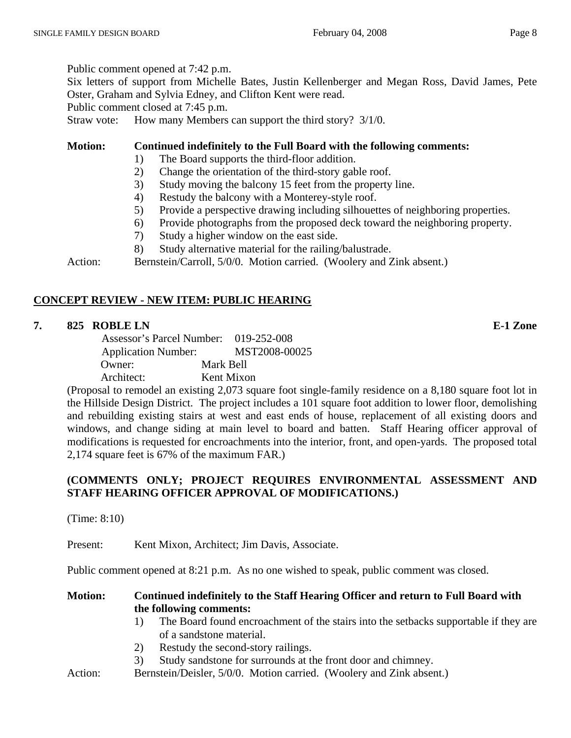Public comment opened at 7:42 p.m.

Six letters of support from Michelle Bates, Justin Kellenberger and Megan Ross, David James, Pete Oster, Graham and Sylvia Edney, and Clifton Kent were read.

Public comment closed at 7:45 p.m.

Straw vote: How many Members can support the third story?  $3/1/0$ .

**Motion: Continued indefinitely to the Full Board with the following comments:** 

- 1) The Board supports the third-floor addition.
- 2) Change the orientation of the third-story gable roof.
- 3) Study moving the balcony 15 feet from the property line.
- 4) Restudy the balcony with a Monterey-style roof.
- 5) Provide a perspective drawing including silhouettes of neighboring properties.
- 6) Provide photographs from the proposed deck toward the neighboring property.
- 7) Study a higher window on the east side.
- 8) Study alternative material for the railing/balustrade.

Action: Bernstein/Carroll, 5/0/0. Motion carried. (Woolery and Zink absent.)

# **CONCEPT REVIEW - NEW ITEM: PUBLIC HEARING**

# **7. 825 ROBLE LN E-1 Zone**

 Assessor's Parcel Number: 019-252-008 Application Number: MST2008-00025 Owner: Mark Bell Architect: Kent Mixon

(Proposal to remodel an existing 2,073 square foot single-family residence on a 8,180 square foot lot in the Hillside Design District. The project includes a 101 square foot addition to lower floor, demolishing and rebuilding existing stairs at west and east ends of house, replacement of all existing doors and windows, and change siding at main level to board and batten. Staff Hearing officer approval of modifications is requested for encroachments into the interior, front, and open-yards. The proposed total 2,174 square feet is 67% of the maximum FAR.)

# **(COMMENTS ONLY; PROJECT REQUIRES ENVIRONMENTAL ASSESSMENT AND STAFF HEARING OFFICER APPROVAL OF MODIFICATIONS.)**

(Time: 8:10)

Present: Kent Mixon, Architect; Jim Davis, Associate.

Public comment opened at 8:21 p.m. As no one wished to speak, public comment was closed.

# **Motion: Continued indefinitely to the Staff Hearing Officer and return to Full Board with the following comments:**

- 1) The Board found encroachment of the stairs into the setbacks supportable if they are of a sandstone material.
- 2) Restudy the second-story railings.
- 3) Study sandstone for surrounds at the front door and chimney.
- Action: Bernstein/Deisler, 5/0/0. Motion carried. (Woolery and Zink absent.)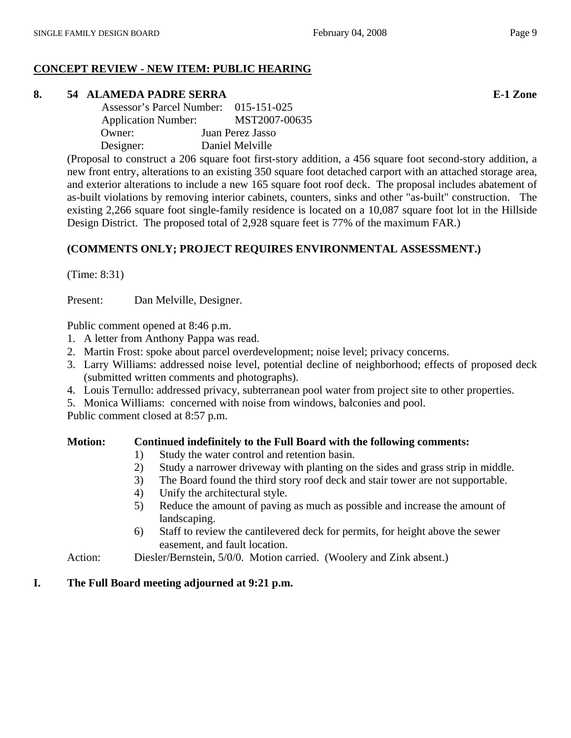# **CONCEPT REVIEW - NEW ITEM: PUBLIC HEARING**

# **8. 54 ALAMEDA PADRE SERRA E-1 Zone**

 Assessor's Parcel Number: 015-151-025 Application Number: MST2007-00635 Owner: Juan Perez Jasso Designer: Daniel Melville

(Proposal to construct a 206 square foot first-story addition, a 456 square foot second-story addition, a new front entry, alterations to an existing 350 square foot detached carport with an attached storage area, and exterior alterations to include a new 165 square foot roof deck. The proposal includes abatement of as-built violations by removing interior cabinets, counters, sinks and other "as-built" construction. The existing 2,266 square foot single-family residence is located on a 10,087 square foot lot in the Hillside Design District. The proposed total of 2,928 square feet is 77% of the maximum FAR.)

# **(COMMENTS ONLY; PROJECT REQUIRES ENVIRONMENTAL ASSESSMENT.)**

(Time: 8:31)

Present: Dan Melville, Designer.

Public comment opened at 8:46 p.m.

- 1. A letter from Anthony Pappa was read.
- 2. Martin Frost: spoke about parcel overdevelopment; noise level; privacy concerns.
- 3. Larry Williams: addressed noise level, potential decline of neighborhood; effects of proposed deck (submitted written comments and photographs).
- 4. Louis Ternullo: addressed privacy, subterranean pool water from project site to other properties.
- 5. Monica Williams: concerned with noise from windows, balconies and pool.

Public comment closed at 8:57 p.m.

# **Motion: Continued indefinitely to the Full Board with the following comments:**

- 1) Study the water control and retention basin.
- 2) Study a narrower driveway with planting on the sides and grass strip in middle.
- 3) The Board found the third story roof deck and stair tower are not supportable.
- 4) Unify the architectural style.
- 5) Reduce the amount of paving as much as possible and increase the amount of landscaping.
- 6) Staff to review the cantilevered deck for permits, for height above the sewer easement, and fault location.
- Action: Diesler/Bernstein, 5/0/0. Motion carried. (Woolery and Zink absent.)

# **I. The Full Board meeting adjourned at 9:21 p.m.**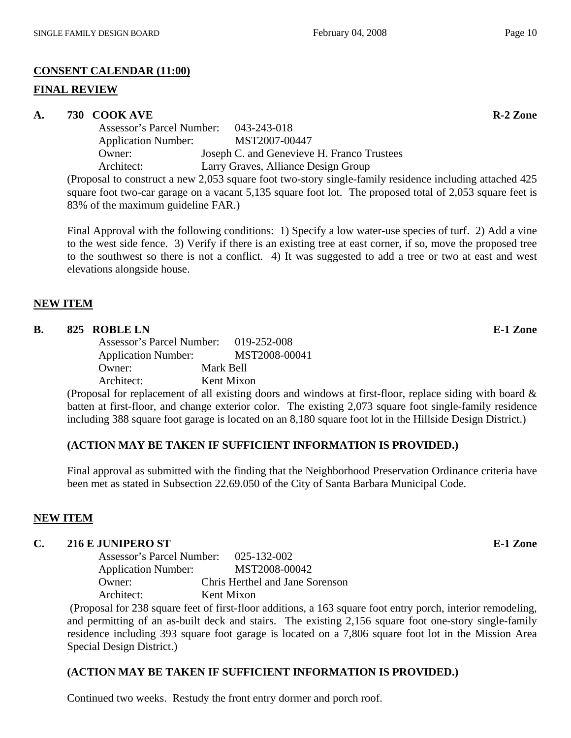#### **FINAL REVIEW**

#### A. 730 COOK AVE **R-2** Zone

 Assessor's Parcel Number: 043-243-018 Application Number: MST2007-00447 Owner: Joseph C. and Genevieve H. Franco Trustees Architect: Larry Graves, Alliance Design Group (Proposal to construct a new 2,053 square foot two-story single-family residence including attached 425

square foot two-car garage on a vacant 5,135 square foot lot. The proposed total of 2,053 square feet is 83% of the maximum guideline FAR.)

Final Approval with the following conditions: 1) Specify a low water-use species of turf. 2) Add a vine to the west side fence. 3) Verify if there is an existing tree at east corner, if so, move the proposed tree to the southwest so there is not a conflict. 4) It was suggested to add a tree or two at east and west elevations alongside house.

#### **NEW ITEM**

# **B.** 825 ROBLE LN **E-1** Zone

 Assessor's Parcel Number: 019-252-008 Application Number: MST2008-00041 Owner: Mark Bell Architect: Kent Mixon

(Proposal for replacement of all existing doors and windows at first-floor, replace siding with board & batten at first-floor, and change exterior color. The existing 2,073 square foot single-family residence including 388 square foot garage is located on an 8,180 square foot lot in the Hillside Design District.)

# **(ACTION MAY BE TAKEN IF SUFFICIENT INFORMATION IS PROVIDED.)**

Final approval as submitted with the finding that the Neighborhood Preservation Ordinance criteria have been met as stated in Subsection 22.69.050 of the City of Santa Barbara Municipal Code.

# **NEW ITEM**

# **C. 216 E JUNIPERO ST E-1 Zone**

 Assessor's Parcel Number: 025-132-002 Application Number: MST2008-00042 Owner: Chris Herthel and Jane Sorenson Architect: Kent Mixon

 (Proposal for 238 square feet of first-floor additions, a 163 square foot entry porch, interior remodeling, and permitting of an as-built deck and stairs. The existing 2,156 square foot one-story single-family residence including 393 square foot garage is located on a 7,806 square foot lot in the Mission Area Special Design District.)

# **(ACTION MAY BE TAKEN IF SUFFICIENT INFORMATION IS PROVIDED.)**

Continued two weeks. Restudy the front entry dormer and porch roof.